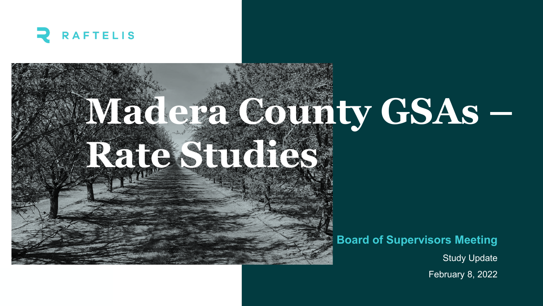

# **Madera County GSAs – Rate Studies**

#### **Board of Supervisors Meeting**

Study Update

February 8, 2022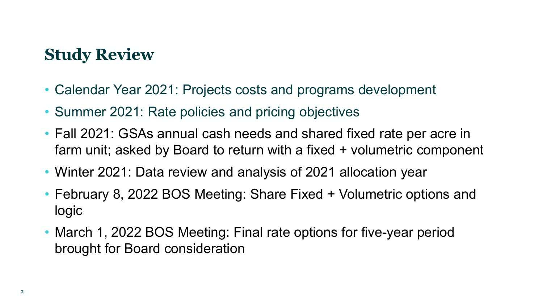### **Study Review**

- Calendar Year 2021: Projects costs and programs development
- Summer 2021: Rate policies and pricing objectives
- Fall 2021: GSAs annual cash needs and shared fixed rate per acre in farm unit; asked by Board to return with a fixed + volumetric component
- Winter 2021: Data review and analysis of 2021 allocation year
- February 8, 2022 BOS Meeting: Share Fixed + Volumetric options and logic
- March 1, 2022 BOS Meeting: Final rate options for five-year period brought for Board consideration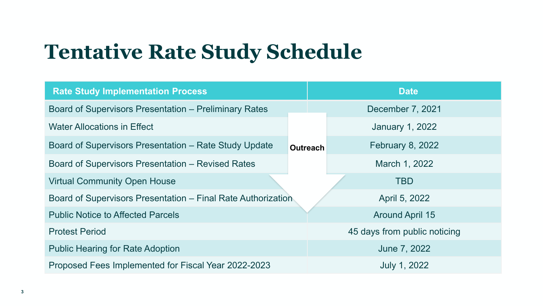## **Tentative Rate Study Schedule**

| <b>Rate Study Implementation Process</b>                     |                 | <b>Date</b>                  |                         |  |  |
|--------------------------------------------------------------|-----------------|------------------------------|-------------------------|--|--|
| <b>Board of Supervisors Presentation – Preliminary Rates</b> |                 |                              | December 7, 2021        |  |  |
| <b>Water Allocations in Effect</b>                           |                 |                              | <b>January 1, 2022</b>  |  |  |
| Board of Supervisors Presentation – Rate Study Update        | <b>Outreach</b> |                              | <b>February 8, 2022</b> |  |  |
| <b>Board of Supervisors Presentation - Revised Rates</b>     |                 |                              | March 1, 2022           |  |  |
| <b>Virtual Community Open House</b>                          |                 |                              | <b>TBD</b>              |  |  |
| Board of Supervisors Presentation – Final Rate Authorization |                 |                              | April 5, 2022           |  |  |
| <b>Public Notice to Affected Parcels</b>                     |                 |                              | <b>Around April 15</b>  |  |  |
| <b>Protest Period</b>                                        |                 | 45 days from public noticing |                         |  |  |
| <b>Public Hearing for Rate Adoption</b>                      |                 | June 7, 2022                 |                         |  |  |
| Proposed Fees Implemented for Fiscal Year 2022-2023          |                 | <b>July 1, 2022</b>          |                         |  |  |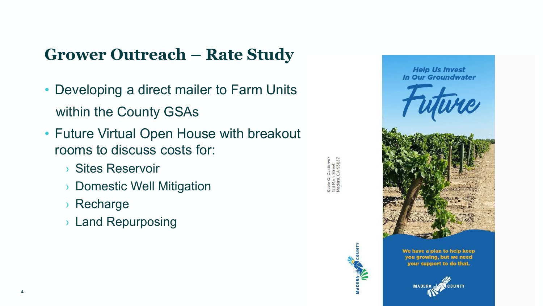### **Grower Outreach – Rate Study**

- Developing a direct mailer to Farm Units within the County GSAs
- Future Virtual Open House with breakout rooms to discuss costs for:
	- › Sites Reservoir
	- › Domestic Well Mitigation
	- › Recharge
	- › Land Repurposing



**Help Us Invest** In Our Groundwater We have a plan to help keep you growing, but we need your support to do that.

**ICOUNTY MADERA**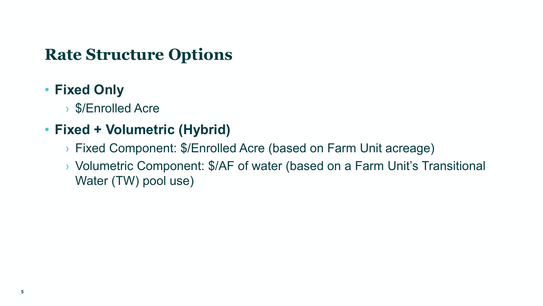#### **Rate Structure Options**

#### • **Fixed Only**

› \$/Enrolled Acre

#### • **Fixed + Volumetric (Hybrid)**

- › Fixed Component: \$/Enrolled Acre (based on Farm Unit acreage)
- › Volumetric Component: \$/AF of water (based on a Farm Unit's Transitional Water (TW) pool use)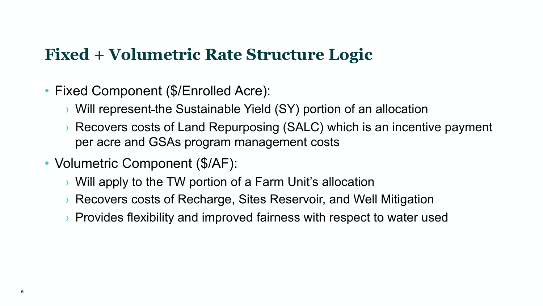#### **Fixed + Volumetric Rate Structure Logic**

- Fixed Component (\$/Enrolled Acre):
	- $\rightarrow$  Will represent-the Sustainable Yield (SY) portion of an allocation
	- › Recovers costs of Land Repurposing (SALC) which is an incentive payment per acre and GSAs program management costs
- Volumetric Component (\$/AF):
	- › Will apply to the TW portion of a Farm Unit's allocation
	- › Recovers costs of Recharge, Sites Reservoir, and Well Mitigation
	- › Provides flexibility and improved fairness with respect to water used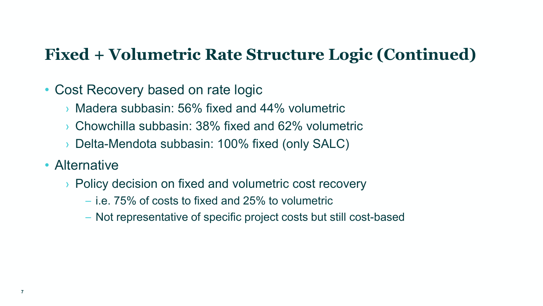#### **Fixed + Volumetric Rate Structure Logic (Continued)**

#### • Cost Recovery based on rate logic

- › Madera subbasin: 56% fixed and 44% volumetric
- › Chowchilla subbasin: 38% fixed and 62% volumetric
- › Delta-Mendota subbasin: 100% fixed (only SALC)
- Alternative
	- › Policy decision on fixed and volumetric cost recovery
		- i.e. 75% of costs to fixed and 25% to volumetric
		- Not representative of specific project costs but still cost-based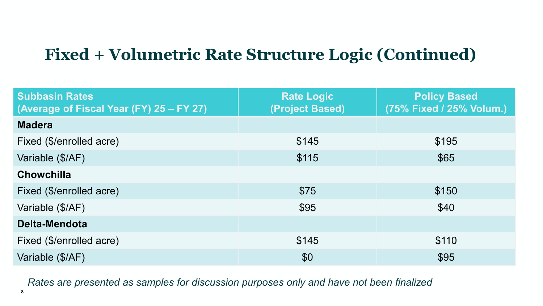### **Fixed + Volumetric Rate Structure Logic (Continued)**

| <b>Subbasin Rates</b><br>(Average of Fiscal Year (FY) 25 – FY 27) | <b>Rate Logic</b><br>(Project Based) | <b>Policy Based</b><br>(75% Fixed / 25% Volum.) |
|-------------------------------------------------------------------|--------------------------------------|-------------------------------------------------|
| <b>Madera</b>                                                     |                                      |                                                 |
| Fixed (\$/enrolled acre)                                          | \$145                                | \$195                                           |
| Variable (\$/AF)                                                  | \$115                                | \$65                                            |
| <b>Chowchilla</b>                                                 |                                      |                                                 |
| Fixed (\$/enrolled acre)                                          | \$75                                 | \$150                                           |
| Variable (\$/AF)                                                  | \$95                                 | \$40                                            |
| <b>Delta-Mendota</b>                                              |                                      |                                                 |
| Fixed (\$/enrolled acre)                                          | \$145                                | \$110                                           |
| Variable (\$/AF)                                                  | \$0                                  | \$95                                            |

*Rates are presented as samples for discussion purposes only and have not been finalized*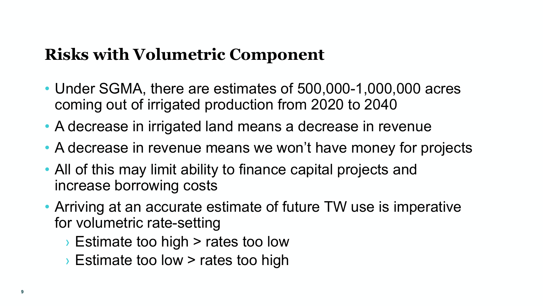#### **Risks with Volumetric Component**

- Under SGMA, there are estimates of 500,000-1,000,000 acres coming out of irrigated production from 2020 to 2040
- A decrease in irrigated land means a decrease in revenue
- A decrease in revenue means we won't have money for projects
- All of this may limit ability to finance capital projects and increase borrowing costs
- Arriving at an accurate estimate of future TW use is imperative for volumetric rate-setting
	- › Estimate too high > rates too low
	- › Estimate too low > rates too high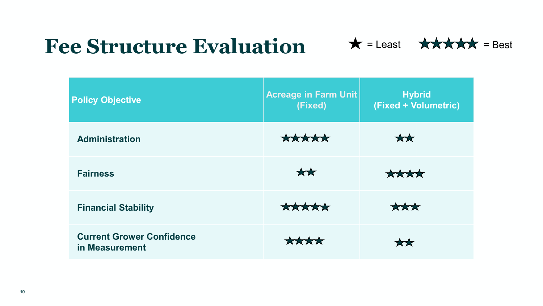## **Fee Structure Evaluation**



| <b>Policy Objective</b>                            | <b>Acreage in Farm Unit</b><br>(Fixed) | <b>Hybrid</b><br>(Fixed + Volumetric) |
|----------------------------------------------------|----------------------------------------|---------------------------------------|
| <b>Administration</b>                              | *****                                  | **                                    |
| <b>Fairness</b>                                    | **                                     | $*$                                   |
| <b>Financial Stability</b>                         | *****                                  | $\bigstar\bigstar\bigstar$            |
| <b>Current Grower Confidence</b><br>in Measurement |                                        |                                       |